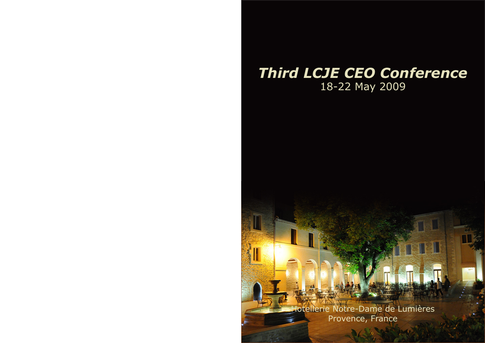# *Third LCJE CEO Conference* 18-22 May 2009

Hotellerie Notre-Dame de Lumières Provence, France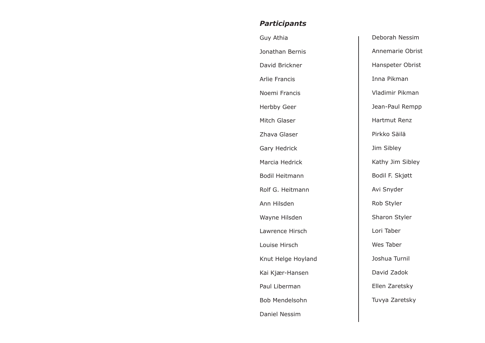### *Participants*

| Guy Athia            | Del             |
|----------------------|-----------------|
| Jonathan Bernis      | Anı             |
| David Brickner       | Hai             |
| <b>Arlie Francis</b> | Inr             |
| Noemi Francis        | Vla             |
| Herbby Geer          | Jea             |
| Mitch Glaser         | Ha              |
| Zhava Glaser         | Pirl            |
| Gary Hedrick         | Jim             |
| Marcia Hedrick       | Kat             |
| Bodil Heitmann       | Bo              |
| Rolf G. Heitmann     | Avi             |
| Ann Hilsden          | Rol             |
| Wayne Hilsden        | Sha             |
| Lawrence Hirsch      | Lor             |
| Louise Hirsch        | We              |
| Knut Helge Hoyland   | Jos             |
| Kai Kjær-Hansen      | Da <sup>®</sup> |
| Paul Liberman        | EII             |
| Bob Mendelsohn       | <b>Tu</b>       |
| Daniel Nessim        |                 |
|                      |                 |

borah Nessim Inemarie Obrist Hanspeter Obrist na Pikman adimir Pikman an-Paul Rempp artmut Renz kko Säilä n Sibley thy Jim Sibley Bodil F. Skjøtt Snyder b Styler aron Styler ri Taber es Taber shua Turnil vid Zadok en Zaretsky vya Zaretsky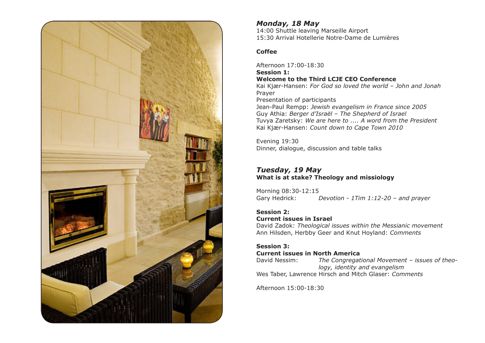

#### *Monday, 18 May*

14:00 Shuttle leaving Marseille Airport 15:30 Arrival Hotellerie Notre-Dame de Lumières

#### **Coffee**

Afternoon 17:00-18:30 **Session 1: Welcome to the Third LCJE CEO Conference** Kai Kjær-Hansen: *For God so loved the world – John and Jonah* Prayer Presentation of participants Jean-Paul Rempp: *Jewish evangelism in France since 2005* Guy Athia: *Berger d'Israël – The Shepherd of Israel* Tuvya Zaretsky: *We are here to .... A word from the President* Kai Kjær-Hansen: *Count down to Cape Town 2010*

Evening 19:30 Dinner, dialogue, discussion and table talks

#### *Tuesday, 19 May* **What is at stake? Theology and missiology**

Morning 08:30-12:15<br>Gary Hedrick: Devotion - 1Tim 1:12-20 - and prayer

#### **Session 2: Current issues in Israel**

David Zadok: *Theological issues within the Messianic movement* Ann Hilsden, Herbby Geer and Knut Hoyland: *Comments*

#### **Session 3: Current issues in North America**

David Nessim: *The Congregational Movement – issues of theo logy, identity and evangelism* Wes Taber, Lawrence Hirsch and Mitch Glaser: *Comments*

Afternoon 15:00-18:30